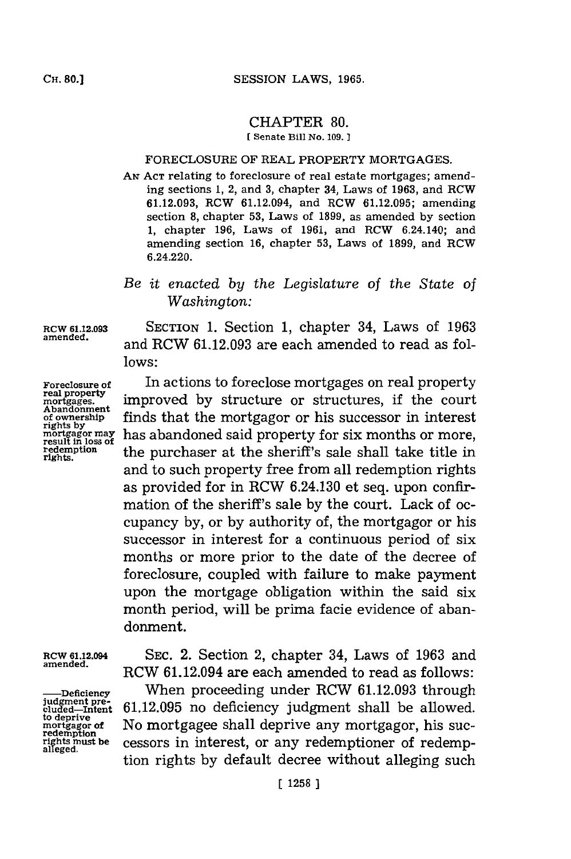## CHAPTER **80.**

**[ Senate Bill No. 109.]1**

## FORECLOSURE OF REAL PROPERTY **MORTGAGES.**

**AN ACT** relating to foreclosure of real estate mortgages; amending sections **1,** 2, and **3,** chapter 34, Laws of **1963,** and RCW **61.12.093,** RCW 61.12.094, and RCW **61.12.095;** amending section **8,** chapter **53,** Laws of **1899,** as amended **by** section **1,** chapter **196,** Laws of **1961,** and RCW 6.24.140; and amending section **16,** chapter **53,** Laws of **1899,** and RCW 6.24.220.

## *Be it enacted by the Legislature* of *the State of Washington:*

**rights.**

**RCW 61.12.093** SECTION **1.** Section **1,** chapter 34, Laws of **1963 amended,** and RCW **61.12.093** are each amended to read as fol**lows:**

> In actions to foreclose mortgages on real property improved **by** structure or structures, if the court finds that the mortgagor or his successor in interest has abandoned said property for six months or more, the purchaser at the sheriff's sale shall take title in and to such property free from all redemption rights as provided for in RCW 6.24.130 et seq. upon confirmation of the sheriff's sale **by** the court. Lack of occupancy **by,** or **by** authority of, the mortgagor or his successor in interest for a continuous period of six months or more prior to the date of the decree of foreclosure, coupled with failure to make payment upon the mortgage obligation within the said six month period, will be prima facie evidence of abandonment.

to deprive<br>mortgagor **of**<br>redemption<br>rights must be<br>alleged.

**ROW 61.12.094** SEC. 2. Section 2, chapter 34, Laws of **1963** and **amended.** RCW 61.12.094 are each amended to read as follows:

**-**Deficiency **When proceeding under RCW 61.12.093** through judgment pre-<br> **gluded-Intent 61.12.095** no deficiency judgment shall be allowed. No mortgagee shall deprive any mortgagor, his sucressors in interest, or any redemptioner of redemption rights by default decree without alleging such

**Foreclosure of real property motages. Abandonment of ownershlp rights by mortgagor may result in loss of redemption**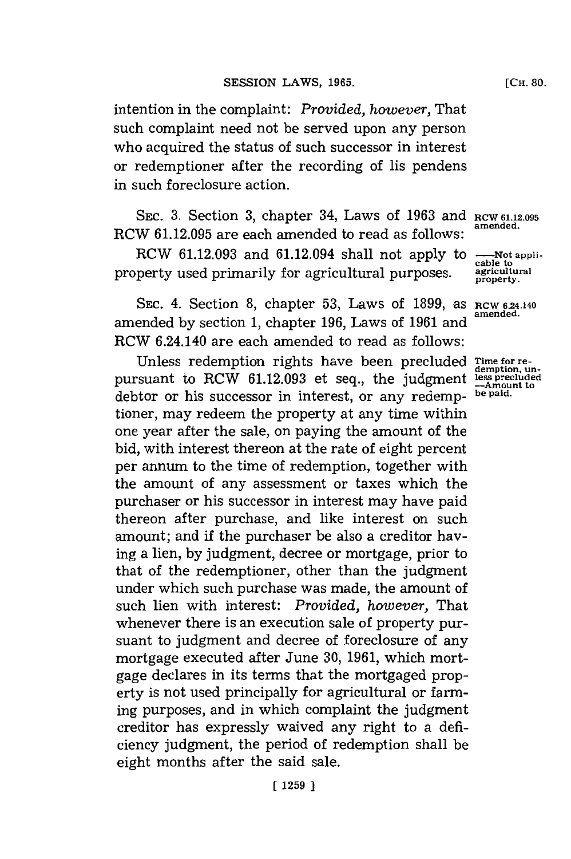intention in the complaint: *Provided, however,* That such complaint need not be served upon any person who acquired the status of such successor in interest or redemptioner after the recording of lis pendens in such foreclosure action.

SEC. 3. Section 3, chapter 34, Laws of 1963 and RCW 61.12.095 RCW **61.12.095** are each amended to read as follows: **amended.**

RCW 61.12.093 and 61.12.094 shall not apply to **-**-Not appli-<br>
perty used primarily for agricultural purposes agricultural property used primarily for agricultural purposes. **agicuiltural**

SEC. 4. Section 8, chapter 53, Laws of 1899, as **RCW 6.24.140**<br>amended. amended by section 1, chapter 196, Laws of 1961 and RCW 6.24.140 are each amended to read as follows:

Unless redemption rights have been precluded Time for re-<br>
Suant to RCW 61.12.093 et seq., the judgment less precluded<br>
<sub>me</sub> Amount to pursuant to RCW 61.12.093 et seq., the judgment debtor or his successor in interest, or any redemp- **be paid.** tioner, may redeem the property at any time within one year after the sale, on paying the amount of the bid, with interest thereon at the rate of eight percent per annum to the time of redemption, together with the amount of any assessment or taxes which the purchaser or his successor in interest may have paid thereon after purchase, and like interest on such amount; and **if** the purchaser be also a creditor having a lien, **by** judgment, decree or mortgage, prior to that of the redemptioner, other than the judgment under which such purchase was made, the amount of such lien with interest: *Provided, however,* That whenever there is an execution sale of property pursuant to judgment and decree of foreclosure of any mortgage executed after June **30, 1961,** which mortgage declares in its terms that the mortgaged property is not used principally for agricultural or farming purposes, and in which complaint the judgment creditor has expressly waived any right to a deficiency judgment, the period of redemption shall be eight months after the said sale.